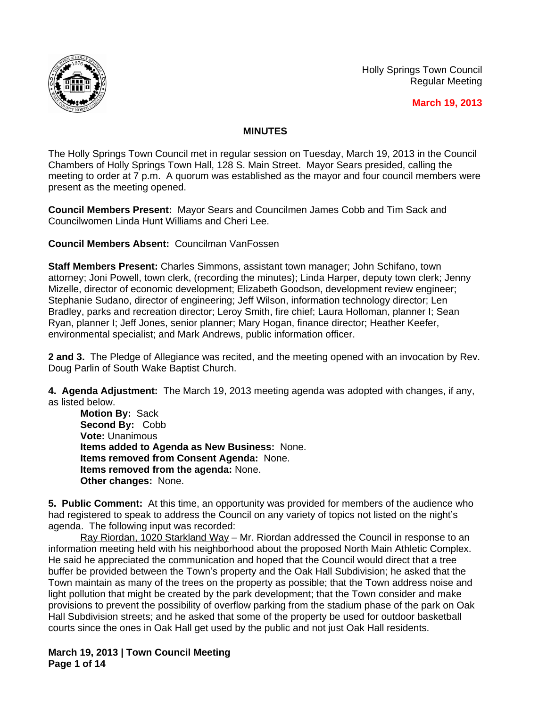

Holly Springs Town Council Regular Meeting

 **March 19, 2013**

## **MINUTES**

The Holly Springs Town Council met in regular session on Tuesday, March 19, 2013 in the Council Chambers of Holly Springs Town Hall, 128 S. Main Street. Mayor Sears presided, calling the meeting to order at 7 p.m. A quorum was established as the mayor and four council members were present as the meeting opened.

**Council Members Present:** Mayor Sears and Councilmen James Cobb and Tim Sack and Councilwomen Linda Hunt Williams and Cheri Lee.

**Council Members Absent:** Councilman VanFossen

**Staff Members Present:** Charles Simmons, assistant town manager; John Schifano, town attorney; Joni Powell, town clerk, (recording the minutes); Linda Harper, deputy town clerk; Jenny Mizelle, director of economic development; Elizabeth Goodson, development review engineer; Stephanie Sudano, director of engineering; Jeff Wilson, information technology director; Len Bradley, parks and recreation director; Leroy Smith, fire chief; Laura Holloman, planner I; Sean Ryan, planner I; Jeff Jones, senior planner; Mary Hogan, finance director; Heather Keefer, environmental specialist; and Mark Andrews, public information officer.

**2 and 3.** The Pledge of Allegiance was recited, and the meeting opened with an invocation by Rev. Doug Parlin of South Wake Baptist Church.

**4. Agenda Adjustment:** The March 19, 2013 meeting agenda was adopted with changes, if any, as listed below.

**Motion By:** Sack **Second By:** Cobb **Vote:** Unanimous **Items added to Agenda as New Business:** None. **Items removed from Consent Agenda:** None. **Items removed from the agenda:** None. **Other changes:** None.

**5. Public Comment:** At this time, an opportunity was provided for members of the audience who had registered to speak to address the Council on any variety of topics not listed on the night's agenda. The following input was recorded:

Ray Riordan, 1020 Starkland Way - Mr. Riordan addressed the Council in response to an information meeting held with his neighborhood about the proposed North Main Athletic Complex. He said he appreciated the communication and hoped that the Council would direct that a tree buffer be provided between the Town's property and the Oak Hall Subdivision; he asked that the Town maintain as many of the trees on the property as possible; that the Town address noise and light pollution that might be created by the park development; that the Town consider and make provisions to prevent the possibility of overflow parking from the stadium phase of the park on Oak Hall Subdivision streets; and he asked that some of the property be used for outdoor basketball courts since the ones in Oak Hall get used by the public and not just Oak Hall residents.

**March 19, 2013 | Town Council Meeting Page 1 of 14**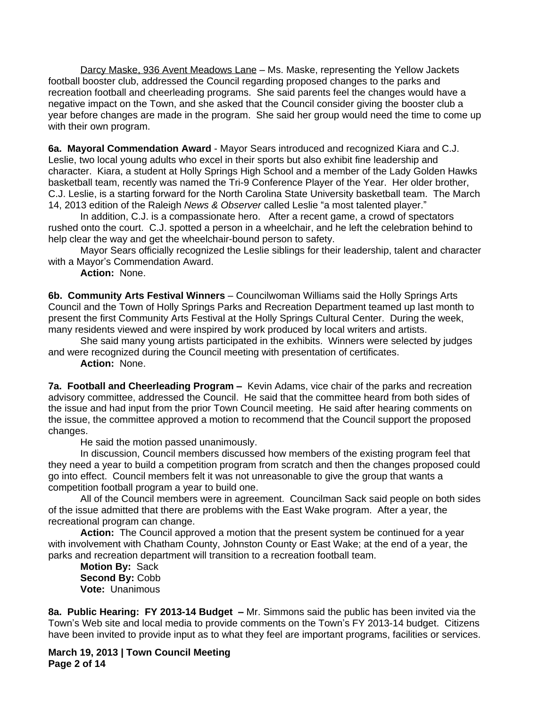Darcy Maske, 936 Avent Meadows Lane – Ms. Maske, representing the Yellow Jackets football booster club, addressed the Council regarding proposed changes to the parks and recreation football and cheerleading programs. She said parents feel the changes would have a negative impact on the Town, and she asked that the Council consider giving the booster club a year before changes are made in the program. She said her group would need the time to come up with their own program.

**6a. Mayoral Commendation Award** - Mayor Sears introduced and recognized Kiara and C.J. Leslie, two local young adults who excel in their sports but also exhibit fine leadership and character. Kiara, a student at Holly Springs High School and a member of the Lady Golden Hawks basketball team, recently was named the Tri-9 Conference Player of the Year. Her older brother, C.J. Leslie, is a starting forward for the North Carolina State University basketball team. The March 14, 2013 edition of the Raleigh *News & Observer* called Leslie "a most talented player."

In addition, C.J. is a compassionate hero. After a recent game, a crowd of spectators rushed onto the court. C.J. spotted a person in a wheelchair, and he left the celebration behind to help clear the way and get the wheelchair-bound person to safety.

Mayor Sears officially recognized the Leslie siblings for their leadership, talent and character with a Mayor's Commendation Award.

**Action:** None.

**6b. Community Arts Festival Winners** – Councilwoman Williams said the Holly Springs Arts Council and the Town of Holly Springs Parks and Recreation Department teamed up last month to present the first Community Arts Festival at the Holly Springs Cultural Center. During the week, many residents viewed and were inspired by work produced by local writers and artists.

She said many young artists participated in the exhibits. Winners were selected by judges and were recognized during the Council meeting with presentation of certificates.

**Action:** None.

**7a. Football and Cheerleading Program –** Kevin Adams, vice chair of the parks and recreation advisory committee, addressed the Council. He said that the committee heard from both sides of the issue and had input from the prior Town Council meeting. He said after hearing comments on the issue, the committee approved a motion to recommend that the Council support the proposed changes.

He said the motion passed unanimously.

In discussion, Council members discussed how members of the existing program feel that they need a year to build a competition program from scratch and then the changes proposed could go into effect. Council members felt it was not unreasonable to give the group that wants a competition football program a year to build one.

All of the Council members were in agreement. Councilman Sack said people on both sides of the issue admitted that there are problems with the East Wake program. After a year, the recreational program can change.

**Action:** The Council approved a motion that the present system be continued for a year with involvement with Chatham County, Johnston County or East Wake; at the end of a year, the parks and recreation department will transition to a recreation football team.

**Motion By:** Sack **Second By:** Cobb **Vote:** Unanimous

**8a. Public Hearing: FY 2013-14 Budget –** Mr. Simmons said the public has been invited via the Town's Web site and local media to provide comments on the Town's FY 2013-14 budget. Citizens have been invited to provide input as to what they feel are important programs, facilities or services.

**March 19, 2013 | Town Council Meeting Page 2 of 14**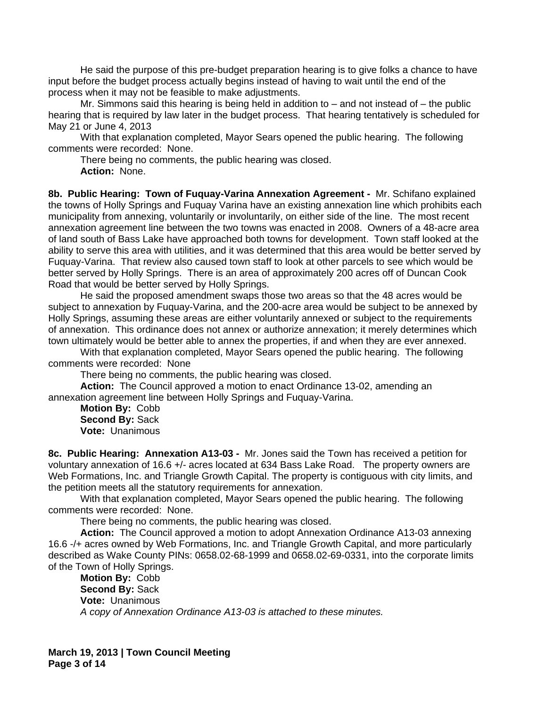He said the purpose of this pre-budget preparation hearing is to give folks a chance to have input before the budget process actually begins instead of having to wait until the end of the process when it may not be feasible to make adjustments.

Mr. Simmons said this hearing is being held in addition to – and not instead of – the public hearing that is required by law later in the budget process. That hearing tentatively is scheduled for May 21 or June 4, 2013

With that explanation completed, Mayor Sears opened the public hearing. The following comments were recorded: None.

There being no comments, the public hearing was closed. **Action:** None.

**8b. Public Hearing: Town of Fuquay-Varina Annexation Agreement -** Mr. Schifano explained the towns of Holly Springs and Fuquay Varina have an existing annexation line which prohibits each municipality from annexing, voluntarily or involuntarily, on either side of the line. The most recent annexation agreement line between the two towns was enacted in 2008. Owners of a 48-acre area of land south of Bass Lake have approached both towns for development. Town staff looked at the ability to serve this area with utilities, and it was determined that this area would be better served by Fuquay-Varina. That review also caused town staff to look at other parcels to see which would be better served by Holly Springs. There is an area of approximately 200 acres off of Duncan Cook Road that would be better served by Holly Springs.

He said the proposed amendment swaps those two areas so that the 48 acres would be subject to annexation by Fuquay-Varina, and the 200-acre area would be subject to be annexed by Holly Springs, assuming these areas are either voluntarily annexed or subject to the requirements of annexation. This ordinance does not annex or authorize annexation; it merely determines which town ultimately would be better able to annex the properties, if and when they are ever annexed.

With that explanation completed, Mayor Sears opened the public hearing. The following comments were recorded: None

There being no comments, the public hearing was closed.

**Action:** The Council approved a motion to enact Ordinance 13-02, amending an annexation agreement line between Holly Springs and Fuquay-Varina.

**Motion By:** Cobb **Second By:** Sack **Vote:** Unanimous

**8c. Public Hearing: Annexation A13-03 -** Mr. Jones said the Town has received a petition for voluntary annexation of 16.6 +/- acres located at 634 Bass Lake Road. The property owners are Web Formations, Inc. and Triangle Growth Capital. The property is contiguous with city limits, and the petition meets all the statutory requirements for annexation.

With that explanation completed, Mayor Sears opened the public hearing. The following comments were recorded: None.

There being no comments, the public hearing was closed.

**Action:** The Council approved a motion to adopt Annexation Ordinance A13-03 annexing 16.6 -/+ acres owned by Web Formations, Inc. and Triangle Growth Capital, and more particularly described as Wake County PINs: 0658.02-68-1999 and 0658.02-69-0331, into the corporate limits of the Town of Holly Springs.

**Motion By:** Cobb **Second By:** Sack **Vote:** Unanimous *A copy of Annexation Ordinance A13-03 is attached to these minutes.*

**March 19, 2013 | Town Council Meeting Page 3 of 14**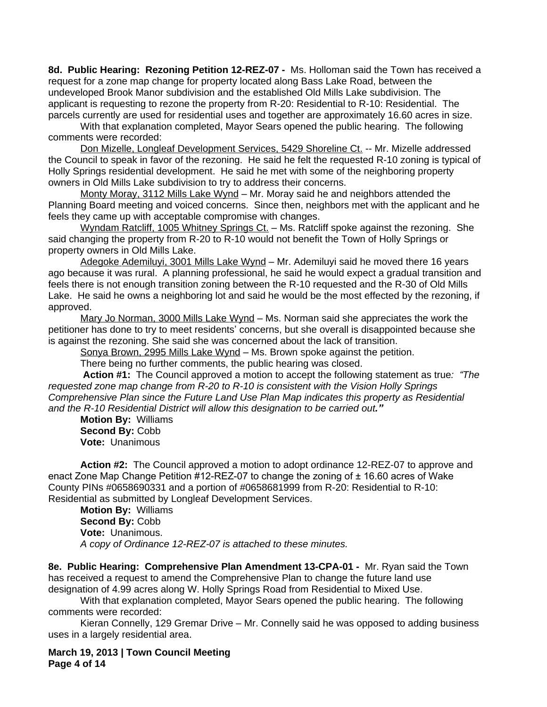**8d. Public Hearing: Rezoning Petition 12-REZ-07 -** Ms. Holloman said the Town has received a request for a zone map change for property located along Bass Lake Road, between the undeveloped Brook Manor subdivision and the established Old Mills Lake subdivision. The applicant is requesting to rezone the property from R-20: Residential to R-10: Residential. The parcels currently are used for residential uses and together are approximately 16.60 acres in size.

With that explanation completed, Mayor Sears opened the public hearing. The following comments were recorded:

Don Mizelle, Longleaf Development Services, 5429 Shoreline Ct. -- Mr. Mizelle addressed the Council to speak in favor of the rezoning. He said he felt the requested R-10 zoning is typical of Holly Springs residential development. He said he met with some of the neighboring property owners in Old Mills Lake subdivision to try to address their concerns.

Monty Moray, 3112 Mills Lake Wynd – Mr. Moray said he and neighbors attended the Planning Board meeting and voiced concerns. Since then, neighbors met with the applicant and he feels they came up with acceptable compromise with changes.

Wyndam Ratcliff, 1005 Whitney Springs Ct. – Ms. Ratcliff spoke against the rezoning. She said changing the property from R-20 to R-10 would not benefit the Town of Holly Springs or property owners in Old Mills Lake.

Adegoke Ademiluyi, 3001 Mills Lake Wynd – Mr. Ademiluyi said he moved there 16 years ago because it was rural. A planning professional, he said he would expect a gradual transition and feels there is not enough transition zoning between the R-10 requested and the R-30 of Old Mills Lake. He said he owns a neighboring lot and said he would be the most effected by the rezoning, if approved.

Mary Jo Norman, 3000 Mills Lake Wynd – Ms. Norman said she appreciates the work the petitioner has done to try to meet residents' concerns, but she overall is disappointed because she is against the rezoning. She said she was concerned about the lack of transition.

Sonya Brown, 2995 Mills Lake Wynd – Ms. Brown spoke against the petition.

There being no further comments, the public hearing was closed.

**Action #1:** The Council approved a motion to accept the following statement as true*: "The requested zone map change from R-20 to R-10 is consistent with the Vision Holly Springs Comprehensive Plan since the Future Land Use Plan Map indicates this property as Residential and the R-10 Residential District will allow this designation to be carried out."*

**Motion By:** Williams **Second By:** Cobb **Vote:** Unanimous

**Action #2:** The Council approved a motion to adopt ordinance 12-REZ-07 to approve and enact Zone Map Change Petition #12-REZ-07 to change the zoning of ± 16.60 acres of Wake County PINs #0658690331 and a portion of #0658681999 from R-20: Residential to R-10: Residential as submitted by Longleaf Development Services.

**Motion By:** Williams **Second By:** Cobb **Vote:** Unanimous. *A copy of Ordinance 12-REZ-07 is attached to these minutes.*

**8e. Public Hearing: Comprehensive Plan Amendment 13-CPA-01 -** Mr. Ryan said the Town has received a request to amend the Comprehensive Plan to change the future land use designation of 4.99 acres along W. Holly Springs Road from Residential to Mixed Use.

With that explanation completed, Mayor Sears opened the public hearing. The following comments were recorded:

Kieran Connelly, 129 Gremar Drive – Mr. Connelly said he was opposed to adding business uses in a largely residential area.

**March 19, 2013 | Town Council Meeting Page 4 of 14**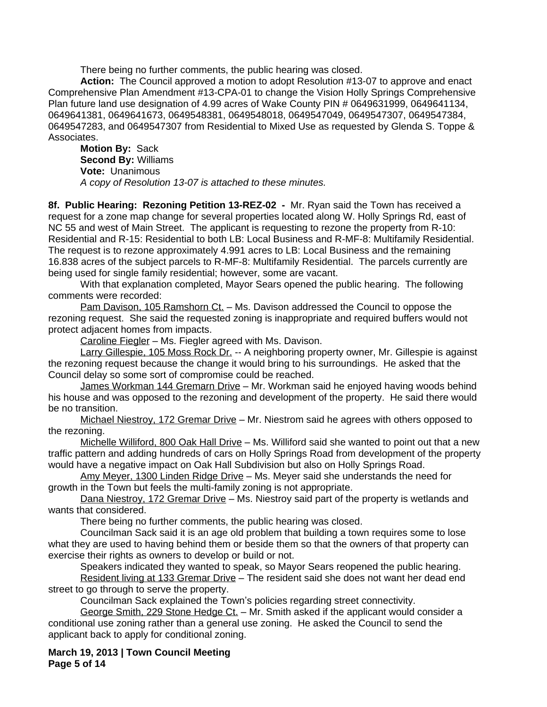There being no further comments, the public hearing was closed.

**Action:** The Council approved a motion to adopt Resolution #13-07 to approve and enact Comprehensive Plan Amendment #13-CPA-01 to change the Vision Holly Springs Comprehensive Plan future land use designation of 4.99 acres of Wake County PIN # 0649631999, 0649641134, 0649641381, 0649641673, 0649548381, 0649548018, 0649547049, 0649547307, 0649547384, 0649547283, and 0649547307 from Residential to Mixed Use as requested by Glenda S. Toppe & Associates.

**Motion By:** Sack **Second By:** Williams **Vote:** Unanimous *A copy of Resolution 13-07 is attached to these minutes.*

**8f. Public Hearing: Rezoning Petition 13-REZ-02 -** Mr. Ryan said the Town has received a request for a zone map change for several properties located along W. Holly Springs Rd, east of NC 55 and west of Main Street. The applicant is requesting to rezone the property from R-10: Residential and R-15: Residential to both LB: Local Business and R-MF-8: Multifamily Residential. The request is to rezone approximately 4.991 acres to LB: Local Business and the remaining 16.838 acres of the subject parcels to R-MF-8: Multifamily Residential. The parcels currently are being used for single family residential; however, some are vacant.

With that explanation completed, Mayor Sears opened the public hearing. The following comments were recorded:

Pam Davison, 105 Ramshorn Ct. – Ms. Davison addressed the Council to oppose the rezoning request. She said the requested zoning is inappropriate and required buffers would not protect adjacent homes from impacts.

Caroline Fiegler – Ms. Fiegler agreed with Ms. Davison.

Larry Gillespie, 105 Moss Rock Dr. -- A neighboring property owner, Mr. Gillespie is against the rezoning request because the change it would bring to his surroundings. He asked that the Council delay so some sort of compromise could be reached.

James Workman 144 Gremarn Drive - Mr. Workman said he enjoyed having woods behind his house and was opposed to the rezoning and development of the property. He said there would be no transition.

Michael Niestroy, 172 Gremar Drive – Mr. Niestrom said he agrees with others opposed to the rezoning.

Michelle Williford, 800 Oak Hall Drive – Ms. Williford said she wanted to point out that a new traffic pattern and adding hundreds of cars on Holly Springs Road from development of the property would have a negative impact on Oak Hall Subdivision but also on Holly Springs Road.

Amy Meyer, 1300 Linden Ridge Drive – Ms. Meyer said she understands the need for growth in the Town but feels the multi-family zoning is not appropriate.

Dana Niestroy, 172 Gremar Drive - Ms. Niestroy said part of the property is wetlands and wants that considered.

There being no further comments, the public hearing was closed.

Councilman Sack said it is an age old problem that building a town requires some to lose what they are used to having behind them or beside them so that the owners of that property can exercise their rights as owners to develop or build or not.

Speakers indicated they wanted to speak, so Mayor Sears reopened the public hearing.

Resident living at 133 Gremar Drive - The resident said she does not want her dead end street to go through to serve the property.

Councilman Sack explained the Town's policies regarding street connectivity.

George Smith, 229 Stone Hedge Ct. - Mr. Smith asked if the applicant would consider a conditional use zoning rather than a general use zoning. He asked the Council to send the applicant back to apply for conditional zoning.

**March 19, 2013 | Town Council Meeting Page 5 of 14**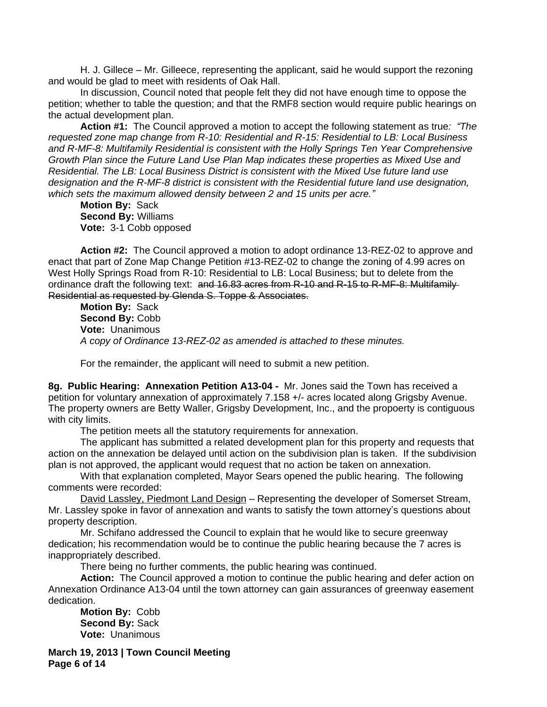H. J. Gillece – Mr. Gilleece, representing the applicant, said he would support the rezoning and would be glad to meet with residents of Oak Hall.

In discussion, Council noted that people felt they did not have enough time to oppose the petition; whether to table the question; and that the RMF8 section would require public hearings on the actual development plan.

**Action #1:** The Council approved a motion to accept the following statement as true*: "The requested zone map change from R-10: Residential and R-15: Residential to LB: Local Business and R-MF-8: Multifamily Residential is consistent with the Holly Springs Ten Year Comprehensive Growth Plan since the Future Land Use Plan Map indicates these properties as Mixed Use and Residential. The LB: Local Business District is consistent with the Mixed Use future land use designation and the R-MF-8 district is consistent with the Residential future land use designation, which sets the maximum allowed density between 2 and 15 units per acre."*

**Motion By:** Sack **Second By:** Williams **Vote:** 3-1 Cobb opposed

**Action #2:** The Council approved a motion to adopt ordinance 13-REZ-02 to approve and enact that part of Zone Map Change Petition #13-REZ-02 to change the zoning of 4.99 acres on West Holly Springs Road from R-10: Residential to LB: Local Business; but to delete from the ordinance draft the following text: and 16.83 acres from R-10 and R-15 to R-MF-8: Multifamily Residential as requested by Glenda S. Toppe & Associates.

**Motion By:** Sack **Second By:** Cobb **Vote:** Unanimous *A copy of Ordinance 13-REZ-02 as amended is attached to these minutes.*

For the remainder, the applicant will need to submit a new petition.

**8g. Public Hearing: Annexation Petition A13-04 -** Mr. Jones said the Town has received a petition for voluntary annexation of approximately 7.158 +/- acres located along Grigsby Avenue. The property owners are Betty Waller, Grigsby Development, Inc., and the propoerty is contiguous with city limits.

The petition meets all the statutory requirements for annexation.

The applicant has submitted a related development plan for this property and requests that action on the annexation be delayed until action on the subdivision plan is taken. If the subdivision plan is not approved, the applicant would request that no action be taken on annexation.

With that explanation completed, Mayor Sears opened the public hearing. The following comments were recorded:

David Lassley, Piedmont Land Design – Representing the developer of Somerset Stream, Mr. Lassley spoke in favor of annexation and wants to satisfy the town attorney's questions about property description.

Mr. Schifano addressed the Council to explain that he would like to secure greenway dedication; his recommendation would be to continue the public hearing because the 7 acres is inappropriately described.

There being no further comments, the public hearing was continued.

**Action:** The Council approved a motion to continue the public hearing and defer action on Annexation Ordinance A13-04 until the town attorney can gain assurances of greenway easement dedication.

**Motion By:** Cobb **Second By:** Sack **Vote:** Unanimous

**March 19, 2013 | Town Council Meeting Page 6 of 14**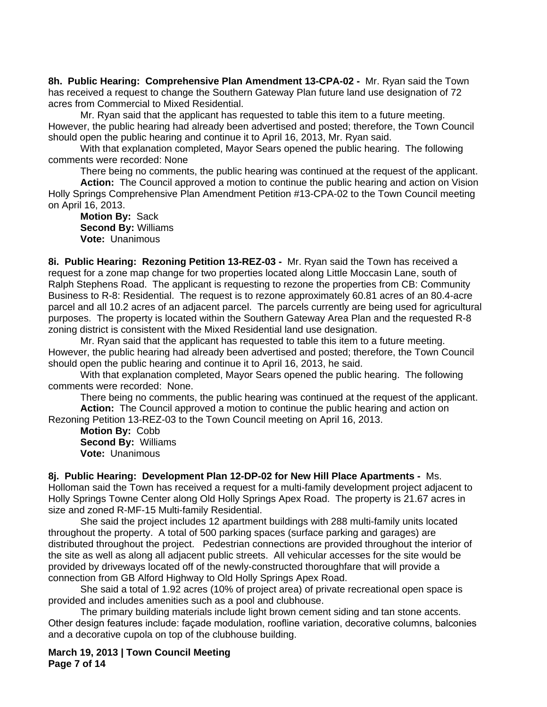**8h. Public Hearing: Comprehensive Plan Amendment 13-CPA-02 -** Mr. Ryan said the Town has received a request to change the Southern Gateway Plan future land use designation of 72 acres from Commercial to Mixed Residential.

Mr. Ryan said that the applicant has requested to table this item to a future meeting. However, the public hearing had already been advertised and posted; therefore, the Town Council should open the public hearing and continue it to April 16, 2013, Mr. Ryan said.

With that explanation completed, Mayor Sears opened the public hearing. The following comments were recorded: None

There being no comments, the public hearing was continued at the request of the applicant.

**Action:** The Council approved a motion to continue the public hearing and action on Vision Holly Springs Comprehensive Plan Amendment Petition #13-CPA-02 to the Town Council meeting on April 16, 2013.

**Motion By:** Sack **Second By:** Williams **Vote:** Unanimous

**8i. Public Hearing: Rezoning Petition 13-REZ-03 -** Mr. Ryan said the Town has received a request for a zone map change for two properties located along Little Moccasin Lane, south of Ralph Stephens Road. The applicant is requesting to rezone the properties from CB: Community Business to R-8: Residential. The request is to rezone approximately 60.81 acres of an 80.4-acre parcel and all 10.2 acres of an adjacent parcel. The parcels currently are being used for agricultural purposes. The property is located within the Southern Gateway Area Plan and the requested R-8 zoning district is consistent with the Mixed Residential land use designation.

Mr. Ryan said that the applicant has requested to table this item to a future meeting. However, the public hearing had already been advertised and posted; therefore, the Town Council should open the public hearing and continue it to April 16, 2013, he said.

With that explanation completed, Mayor Sears opened the public hearing. The following comments were recorded: None.

There being no comments, the public hearing was continued at the request of the applicant. **Action:** The Council approved a motion to continue the public hearing and action on

Rezoning Petition 13-REZ-03 to the Town Council meeting on April 16, 2013.

**Motion By:** Cobb **Second By:** Williams **Vote:** Unanimous

**8j. Public Hearing: Development Plan 12-DP-02 for New Hill Place Apartments -** Ms. Holloman said the Town has received a request for a multi-family development project adjacent to Holly Springs Towne Center along Old Holly Springs Apex Road. The property is 21.67 acres in size and zoned R-MF-15 Multi-family Residential.

She said the project includes 12 apartment buildings with 288 multi-family units located throughout the property. A total of 500 parking spaces (surface parking and garages) are distributed throughout the project. Pedestrian connections are provided throughout the interior of the site as well as along all adjacent public streets. All vehicular accesses for the site would be provided by driveways located off of the newly-constructed thoroughfare that will provide a connection from GB Alford Highway to Old Holly Springs Apex Road.

She said a total of 1.92 acres (10% of project area) of private recreational open space is provided and includes amenities such as a pool and clubhouse.

The primary building materials include light brown cement siding and tan stone accents. Other design features include: façade modulation, roofline variation, decorative columns, balconies and a decorative cupola on top of the clubhouse building.

**March 19, 2013 | Town Council Meeting Page 7 of 14**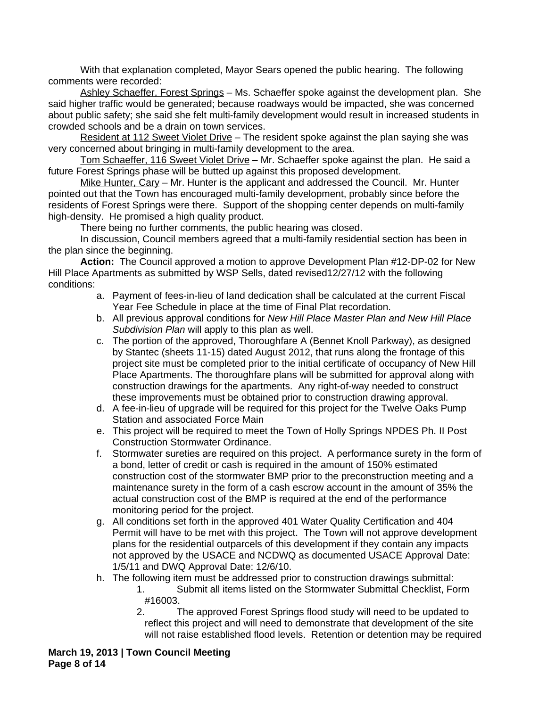With that explanation completed, Mayor Sears opened the public hearing. The following comments were recorded:

Ashley Schaeffer, Forest Springs - Ms. Schaeffer spoke against the development plan. She said higher traffic would be generated; because roadways would be impacted, she was concerned about public safety; she said she felt multi-family development would result in increased students in crowded schools and be a drain on town services.

Resident at 112 Sweet Violet Drive – The resident spoke against the plan saying she was very concerned about bringing in multi-family development to the area.

Tom Schaeffer, 116 Sweet Violet Drive – Mr. Schaeffer spoke against the plan. He said a future Forest Springs phase will be butted up against this proposed development.

Mike Hunter, Cary – Mr. Hunter is the applicant and addressed the Council. Mr. Hunter pointed out that the Town has encouraged multi-family development, probably since before the residents of Forest Springs were there. Support of the shopping center depends on multi-family high-density. He promised a high quality product.

There being no further comments, the public hearing was closed.

In discussion, Council members agreed that a multi-family residential section has been in the plan since the beginning.

**Action:** The Council approved a motion to approve Development Plan #12-DP-02 for New Hill Place Apartments as submitted by WSP Sells, dated revised12/27/12 with the following conditions:

- a. Payment of fees-in-lieu of land dedication shall be calculated at the current Fiscal Year Fee Schedule in place at the time of Final Plat recordation.
- b. All previous approval conditions for *New Hill Place Master Plan and New Hill Place Subdivision Plan* will apply to this plan as well.
- c. The portion of the approved, Thoroughfare A (Bennet Knoll Parkway), as designed by Stantec (sheets 11-15) dated August 2012, that runs along the frontage of this project site must be completed prior to the initial certificate of occupancy of New Hill Place Apartments. The thoroughfare plans will be submitted for approval along with construction drawings for the apartments. Any right-of-way needed to construct these improvements must be obtained prior to construction drawing approval.
- d. A fee-in-lieu of upgrade will be required for this project for the Twelve Oaks Pump Station and associated Force Main
- e. This project will be required to meet the Town of Holly Springs NPDES Ph. II Post Construction Stormwater Ordinance.
- f. Stormwater sureties are required on this project. A performance surety in the form of a bond, letter of credit or cash is required in the amount of 150% estimated construction cost of the stormwater BMP prior to the preconstruction meeting and a maintenance surety in the form of a cash escrow account in the amount of 35% the actual construction cost of the BMP is required at the end of the performance monitoring period for the project.
- g. All conditions set forth in the approved 401 Water Quality Certification and 404 Permit will have to be met with this project. The Town will not approve development plans for the residential outparcels of this development if they contain any impacts not approved by the USACE and NCDWQ as documented USACE Approval Date: 1/5/11 and DWQ Approval Date: 12/6/10.
- h. The following item must be addressed prior to construction drawings submittal: 1. Submit all items listed on the Stormwater Submittal Checklist, Form #16003.
	- 2. The approved Forest Springs flood study will need to be updated to reflect this project and will need to demonstrate that development of the site will not raise established flood levels. Retention or detention may be required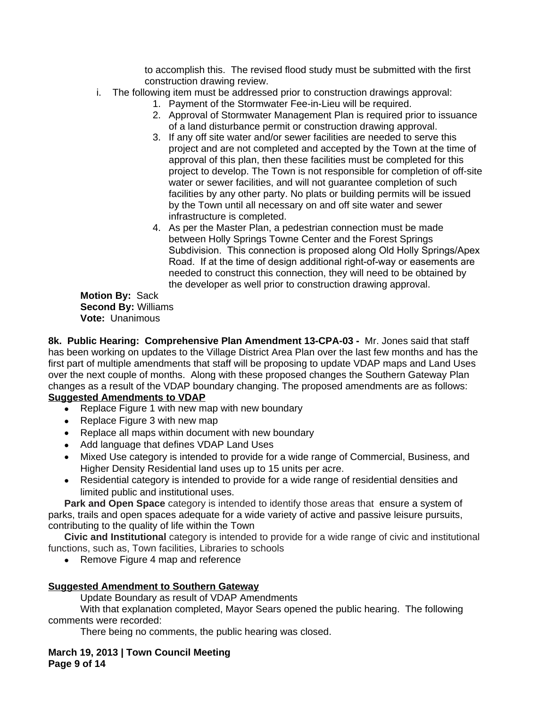to accomplish this. The revised flood study must be submitted with the first construction drawing review.

- i. The following item must be addressed prior to construction drawings approval:
	- 1. Payment of the Stormwater Fee-in-Lieu will be required.
	- 2. Approval of Stormwater Management Plan is required prior to issuance of a land disturbance permit or construction drawing approval.
	- 3. If any off site water and/or sewer facilities are needed to serve this project and are not completed and accepted by the Town at the time of approval of this plan, then these facilities must be completed for this project to develop. The Town is not responsible for completion of off-site water or sewer facilities, and will not guarantee completion of such facilities by any other party. No plats or building permits will be issued by the Town until all necessary on and off site water and sewer infrastructure is completed.
	- 4. As per the Master Plan, a pedestrian connection must be made between Holly Springs Towne Center and the Forest Springs Subdivision. This connection is proposed along Old Holly Springs/Apex Road. If at the time of design additional right-of-way or easements are needed to construct this connection, they will need to be obtained by the developer as well prior to construction drawing approval.

**Motion By:** Sack **Second By:** Williams **Vote:** Unanimous

**8k. Public Hearing: Comprehensive Plan Amendment 13-CPA-03 -** Mr. Jones said that staff has been working on updates to the Village District Area Plan over the last few months and has the first part of multiple amendments that staff will be proposing to update VDAP maps and Land Uses over the next couple of months. Along with these proposed changes the Southern Gateway Plan changes as a result of the VDAP boundary changing. The proposed amendments are as follows: **Suggested Amendments to VDAP**

- Replace Figure 1 with new map with new boundary
- Replace Figure 3 with new map
- Replace all maps within document with new boundary
- Add language that defines VDAP Land Uses
- Mixed Use category is intended to provide for a wide range of Commercial, Business, and Higher Density Residential land uses up to 15 units per acre.
- Residential category is intended to provide for a wide range of residential densities and limited public and institutional uses.

**Park and Open Space** category is intended to identify those areas that ensure a system of parks, trails and open spaces adequate for a wide variety of active and passive leisure pursuits, contributing to the quality of life within the Town

**Civic and Institutional** category is intended to provide for a wide range of civic and institutional functions, such as, Town facilities, Libraries to schools

• Remove Figure 4 map and reference

## **Suggested Amendment to Southern Gateway**

Update Boundary as result of VDAP Amendments

With that explanation completed, Mayor Sears opened the public hearing. The following comments were recorded:

There being no comments, the public hearing was closed.

**March 19, 2013 | Town Council Meeting Page 9 of 14**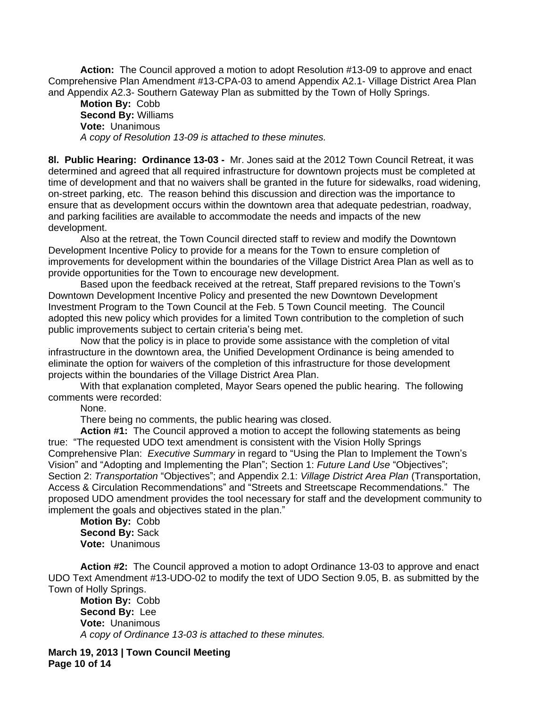**Action:** The Council approved a motion to adopt Resolution #13-09 to approve and enact Comprehensive Plan Amendment #13-CPA-03 to amend Appendix A2.1- Village District Area Plan and Appendix A2.3- Southern Gateway Plan as submitted by the Town of Holly Springs.

**Motion By:** Cobb **Second By:** Williams **Vote:** Unanimous *A copy of Resolution 13-09 is attached to these minutes.*

**8l. Public Hearing: Ordinance 13-03 -** Mr. Jones said at the 2012 Town Council Retreat, it was determined and agreed that all required infrastructure for downtown projects must be completed at time of development and that no waivers shall be granted in the future for sidewalks, road widening, on-street parking, etc. The reason behind this discussion and direction was the importance to ensure that as development occurs within the downtown area that adequate pedestrian, roadway, and parking facilities are available to accommodate the needs and impacts of the new development.

Also at the retreat, the Town Council directed staff to review and modify the Downtown Development Incentive Policy to provide for a means for the Town to ensure completion of improvements for development within the boundaries of the Village District Area Plan as well as to provide opportunities for the Town to encourage new development.

Based upon the feedback received at the retreat, Staff prepared revisions to the Town's Downtown Development Incentive Policy and presented the new Downtown Development Investment Program to the Town Council at the Feb. 5 Town Council meeting. The Council adopted this new policy which provides for a limited Town contribution to the completion of such public improvements subject to certain criteria's being met.

Now that the policy is in place to provide some assistance with the completion of vital infrastructure in the downtown area, the Unified Development Ordinance is being amended to eliminate the option for waivers of the completion of this infrastructure for those development projects within the boundaries of the Village District Area Plan.

With that explanation completed, Mayor Sears opened the public hearing. The following comments were recorded:

None.

There being no comments, the public hearing was closed.

**Action #1:** The Council approved a motion to accept the following statements as being true: "The requested UDO text amendment is consistent with the Vision Holly Springs Comprehensive Plan: *Executive Summary* in regard to "Using the Plan to Implement the Town's Vision" and "Adopting and Implementing the Plan"; Section 1: *Future Land Use* "Objectives"; Section 2: *Transportation* "Objectives"; and Appendix 2.1: *Village District Area Plan* (Transportation, Access & Circulation Recommendations" and "Streets and Streetscape Recommendations." The proposed UDO amendment provides the tool necessary for staff and the development community to implement the goals and objectives stated in the plan."

**Motion By:** Cobb **Second By:** Sack **Vote:** Unanimous

**Action #2:** The Council approved a motion to adopt Ordinance 13-03 to approve and enact UDO Text Amendment #13-UDO-02 to modify the text of UDO Section 9.05, B. as submitted by the Town of Holly Springs.

**Motion By:** Cobb **Second By:** Lee **Vote:** Unanimous *A copy of Ordinance 13-03 is attached to these minutes.*

**March 19, 2013 | Town Council Meeting Page 10 of 14**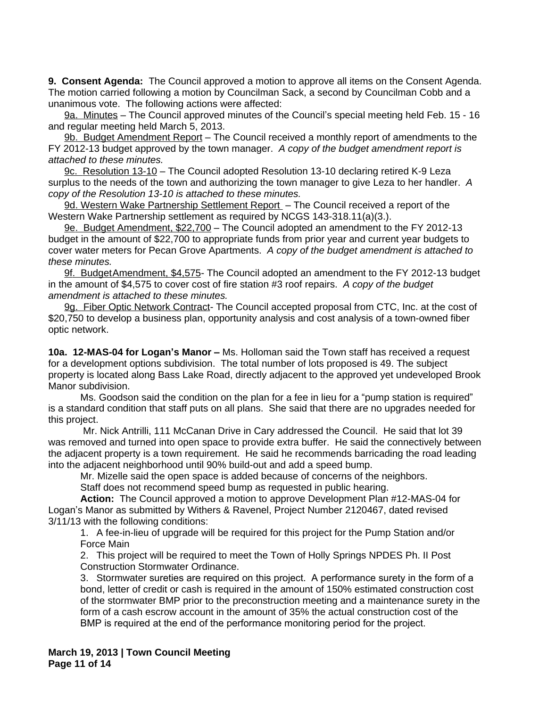**9. Consent Agenda:** The Council approved a motion to approve all items on the Consent Agenda. The motion carried following a motion by Councilman Sack, a second by Councilman Cobb and a unanimous vote. The following actions were affected:

9a. Minutes – The Council approved minutes of the Council's special meeting held Feb. 15 - 16 and regular meeting held March 5, 2013.

9b. Budget Amendment Report – The Council received a monthly report of amendments to the FY 2012-13 budget approved by the town manager. *A copy of the budget amendment report is attached to these minutes.*

9c. Resolution 13-10 – The Council adopted Resolution 13-10 declaring retired K-9 Leza surplus to the needs of the town and authorizing the town manager to give Leza to her handler. *A copy of the Resolution 13-10 is attached to these minutes.*

9d. Western Wake Partnership Settlement Report - The Council received a report of the Western Wake Partnership settlement as required by NCGS 143-318.11(a)(3.).

9e. Budget Amendment, \$22,700 – The Council adopted an amendment to the FY 2012-13 budget in the amount of \$22,700 to appropriate funds from prior year and current year budgets to cover water meters for Pecan Grove Apartments.*A copy of the budget amendment is attached to these minutes.*

9f. BudgetAmendment, \$4,575- The Council adopted an amendment to the FY 2012-13 budget in the amount of \$4,575 to cover cost of fire station #3 roof repairs.*A copy of the budget amendment is attached to these minutes.*

9g. Fiber Optic Network Contract- The Council accepted proposal from CTC, Inc. at the cost of \$20,750 to develop a business plan, opportunity analysis and cost analysis of a town-owned fiber optic network.

**10a. 12-MAS-04 for Logan's Manor –** Ms. Holloman said the Town staff has received a request for a development options subdivision. The total number of lots proposed is 49. The subject property is located along Bass Lake Road, directly adjacent to the approved yet undeveloped Brook Manor subdivision.

Ms. Goodson said the condition on the plan for a fee in lieu for a "pump station is required" is a standard condition that staff puts on all plans. She said that there are no upgrades needed for this project.

Mr. Nick Antrilli, 111 McCanan Drive in Cary addressed the Council. He said that lot 39 was removed and turned into open space to provide extra buffer. He said the connectively between the adjacent property is a town requirement. He said he recommends barricading the road leading into the adjacent neighborhood until 90% build-out and add a speed bump.

Mr. Mizelle said the open space is added because of concerns of the neighbors.

Staff does not recommend speed bump as requested in public hearing.

**Action:** The Council approved a motion to approve Development Plan #12-MAS-04 for Logan's Manor as submitted by Withers & Ravenel, Project Number 2120467, dated revised 3/11/13 with the following conditions:

1. A fee-in-lieu of upgrade will be required for this project for the Pump Station and/or Force Main

2. This project will be required to meet the Town of Holly Springs NPDES Ph. II Post Construction Stormwater Ordinance.

3. Stormwater sureties are required on this project. A performance surety in the form of a bond, letter of credit or cash is required in the amount of 150% estimated construction cost of the stormwater BMP prior to the preconstruction meeting and a maintenance surety in the form of a cash escrow account in the amount of 35% the actual construction cost of the BMP is required at the end of the performance monitoring period for the project.

**March 19, 2013 | Town Council Meeting Page 11 of 14**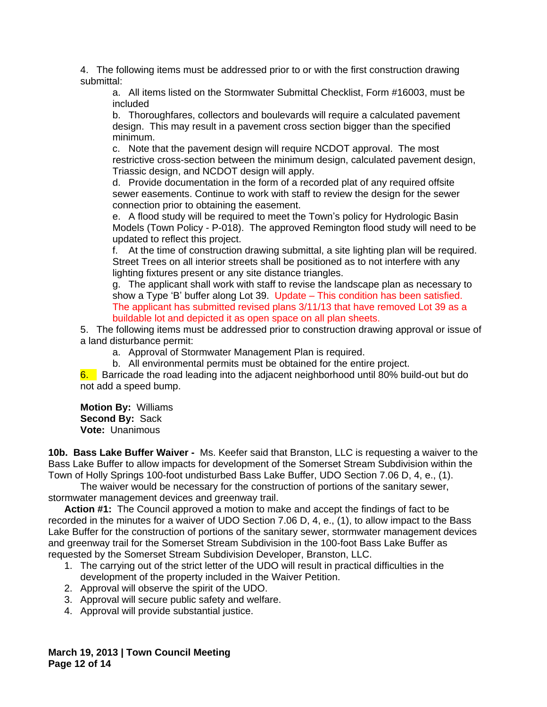4. The following items must be addressed prior to or with the first construction drawing submittal:

a. All items listed on the Stormwater Submittal Checklist, Form #16003, must be included

b. Thoroughfares, collectors and boulevards will require a calculated pavement design. This may result in a pavement cross section bigger than the specified minimum.

c. Note that the pavement design will require NCDOT approval. The most restrictive cross-section between the minimum design, calculated pavement design, Triassic design, and NCDOT design will apply.

d. Provide documentation in the form of a recorded plat of any required offsite sewer easements. Continue to work with staff to review the design for the sewer connection prior to obtaining the easement.

e. A flood study will be required to meet the Town's policy for Hydrologic Basin Models (Town Policy - P-018). The approved Remington flood study will need to be updated to reflect this project.

f. At the time of construction drawing submittal, a site lighting plan will be required. Street Trees on all interior streets shall be positioned as to not interfere with any lighting fixtures present or any site distance triangles.

g. The applicant shall work with staff to revise the landscape plan as necessary to show a Type 'B' buffer along Lot 39. Update – This condition has been satisfied. The applicant has submitted revised plans 3/11/13 that have removed Lot 39 as a buildable lot and depicted it as open space on all plan sheets.

5. The following items must be addressed prior to construction drawing approval or issue of a land disturbance permit:

a. Approval of Stormwater Management Plan is required.

b. All environmental permits must be obtained for the entire project.

6. Barricade the road leading into the adjacent neighborhood until 80% build-out but do not add a speed bump.

**Motion By:** Williams **Second By:** Sack **Vote:** Unanimous

**10b. Bass Lake Buffer Waiver -** Ms. Keefer said that Branston, LLC is requesting a waiver to the Bass Lake Buffer to allow impacts for development of the Somerset Stream Subdivision within the Town of Holly Springs 100-foot undisturbed Bass Lake Buffer, UDO Section 7.06 D, 4, e., (1).

The waiver would be necessary for the construction of portions of the sanitary sewer, stormwater management devices and greenway trail.

**Action #1:** The Council approved a motion to make and accept the findings of fact to be recorded in the minutes for a waiver of UDO Section 7.06 D, 4, e., (1), to allow impact to the Bass Lake Buffer for the construction of portions of the sanitary sewer, stormwater management devices and greenway trail for the Somerset Stream Subdivision in the 100-foot Bass Lake Buffer as requested by the Somerset Stream Subdivision Developer, Branston, LLC.

- 1. The carrying out of the strict letter of the UDO will result in practical difficulties in the development of the property included in the Waiver Petition.
- 2. Approval will observe the spirit of the UDO.
- 3. Approval will secure public safety and welfare.
- 4. Approval will provide substantial justice.

**March 19, 2013 | Town Council Meeting Page 12 of 14**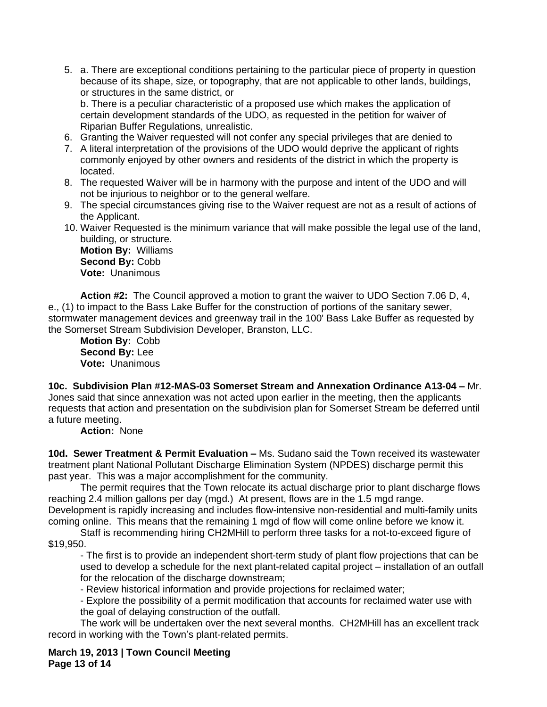5. a. There are exceptional conditions pertaining to the particular piece of property in question because of its shape, size, or topography, that are not applicable to other lands, buildings, or structures in the same district, or

b. There is a peculiar characteristic of a proposed use which makes the application of certain development standards of the UDO, as requested in the petition for waiver of Riparian Buffer Regulations, unrealistic.

- 6. Granting the Waiver requested will not confer any special privileges that are denied to
- 7. A literal interpretation of the provisions of the UDO would deprive the applicant of rights commonly enjoyed by other owners and residents of the district in which the property is located.
- 8. The requested Waiver will be in harmony with the purpose and intent of the UDO and will not be injurious to neighbor or to the general welfare.
- 9. The special circumstances giving rise to the Waiver request are not as a result of actions of the Applicant.
- 10. Waiver Requested is the minimum variance that will make possible the legal use of the land, building, or structure.

**Motion By:** Williams **Second By:** Cobb **Vote:** Unanimous

**Action #2:** The Council approved a motion to grant the waiver to UDO Section 7.06 D, 4, e., (1) to impact to the Bass Lake Buffer for the construction of portions of the sanitary sewer, stormwater management devices and greenway trail in the 100' Bass Lake Buffer as requested by the Somerset Stream Subdivision Developer, Branston, LLC.

**Motion By:** Cobb **Second By:** Lee **Vote:** Unanimous

**10c. Subdivision Plan #12-MAS-03 Somerset Stream and Annexation Ordinance A13-04 –** Mr. Jones said that since annexation was not acted upon earlier in the meeting, then the applicants requests that action and presentation on the subdivision plan for Somerset Stream be deferred until a future meeting.

**Action:** None

**10d. Sewer Treatment & Permit Evaluation – Ms. Sudano said the Town received its wastewater** treatment plant National Pollutant Discharge Elimination System (NPDES) discharge permit this past year. This was a major accomplishment for the community.

The permit requires that the Town relocate its actual discharge prior to plant discharge flows reaching 2.4 million gallons per day (mgd.) At present, flows are in the 1.5 mgd range. Development is rapidly increasing and includes flow-intensive non-residential and multi-family units coming online. This means that the remaining 1 mgd of flow will come online before we know it.

Staff is recommending hiring CH2MHill to perform three tasks for a not-to-exceed figure of \$19,950.

- The first is to provide an independent short-term study of plant flow projections that can be used to develop a schedule for the next plant-related capital project – installation of an outfall for the relocation of the discharge downstream;

- Review historical information and provide projections for reclaimed water;

- Explore the possibility of a permit modification that accounts for reclaimed water use with the goal of delaying construction of the outfall.

The work will be undertaken over the next several months. CH2MHill has an excellent track record in working with the Town's plant-related permits.

**March 19, 2013 | Town Council Meeting Page 13 of 14**